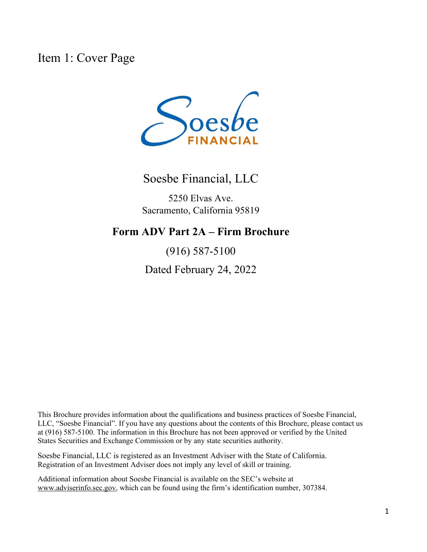Item 1: Cover Page



Soesbe Financial, LLC

5250 Elvas Ave. Sacramento, California 95819

### **Form ADV Part 2A – Firm Brochure**

(916) 587-5100

Dated February 24, 2022

This Brochure provides information about the qualifications and business practices of Soesbe Financial, LLC, "Soesbe Financial". If you have any questions about the contents of this Brochure, please contact us at (916) 587-5100. The information in this Brochure has not been approved or verified by the United States Securities and Exchange Commission or by any state securities authority.

Soesbe Financial, LLC is registered as an Investment Adviser with the State of California. Registration of an Investment Adviser does not imply any level of skill or training.

Additional information about Soesbe Financial is available on the SEC's website at www.adviserinfo.sec.gov, which can be found using the firm's identification number, 307384.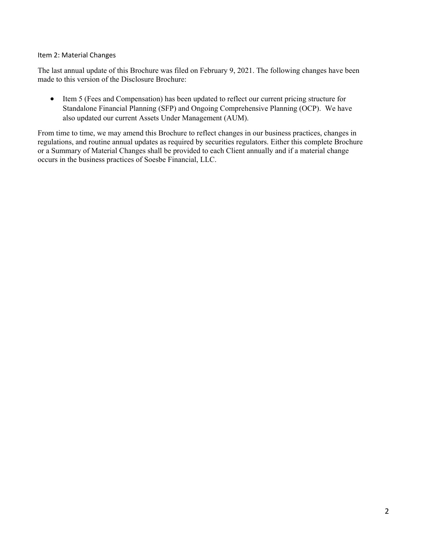#### Item 2: Material Changes

The last annual update of this Brochure was filed on February 9, 2021. The following changes have been made to this version of the Disclosure Brochure:

 Item 5 (Fees and Compensation) has been updated to reflect our current pricing structure for Standalone Financial Planning (SFP) and Ongoing Comprehensive Planning (OCP). We have also updated our current Assets Under Management (AUM).

From time to time, we may amend this Brochure to reflect changes in our business practices, changes in regulations, and routine annual updates as required by securities regulators. Either this complete Brochure or a Summary of Material Changes shall be provided to each Client annually and if a material change occurs in the business practices of Soesbe Financial, LLC.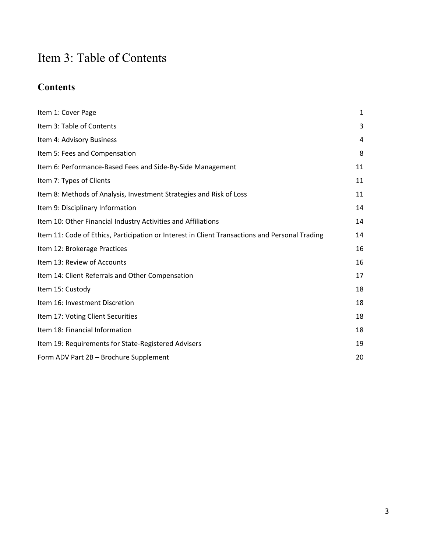# Item 3: Table of Contents

## **Contents**

| Item 1: Cover Page                                                                             | $\mathbf{1}$ |
|------------------------------------------------------------------------------------------------|--------------|
| Item 3: Table of Contents                                                                      | 3            |
| Item 4: Advisory Business                                                                      | 4            |
| Item 5: Fees and Compensation                                                                  | 8            |
| Item 6: Performance-Based Fees and Side-By-Side Management                                     | 11           |
| Item 7: Types of Clients                                                                       | 11           |
| Item 8: Methods of Analysis, Investment Strategies and Risk of Loss                            | 11           |
| Item 9: Disciplinary Information                                                               | 14           |
| Item 10: Other Financial Industry Activities and Affiliations                                  | 14           |
| Item 11: Code of Ethics, Participation or Interest in Client Transactions and Personal Trading | 14           |
| Item 12: Brokerage Practices                                                                   | 16           |
| Item 13: Review of Accounts                                                                    | 16           |
| Item 14: Client Referrals and Other Compensation                                               | 17           |
| Item 15: Custody                                                                               | 18           |
| Item 16: Investment Discretion                                                                 | 18           |
| Item 17: Voting Client Securities                                                              | 18           |
| Item 18: Financial Information                                                                 | 18           |
| Item 19: Requirements for State-Registered Advisers                                            | 19           |
| Form ADV Part 2B - Brochure Supplement                                                         | 20           |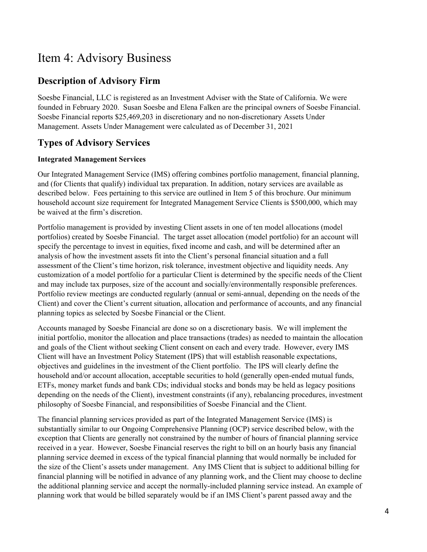## Item 4: Advisory Business

### **Description of Advisory Firm**

Soesbe Financial, LLC is registered as an Investment Adviser with the State of California. We were founded in February 2020. Susan Soesbe and Elena Falken are the principal owners of Soesbe Financial. Soesbe Financial reports \$25,469,203 in discretionary and no non-discretionary Assets Under Management. Assets Under Management were calculated as of December 31, 2021

### **Types of Advisory Services**

#### **Integrated Management Services**

Our Integrated Management Service (IMS) offering combines portfolio management, financial planning, and (for Clients that qualify) individual tax preparation. In addition, notary services are available as described below. Fees pertaining to this service are outlined in Item 5 of this brochure. Our minimum household account size requirement for Integrated Management Service Clients is \$500,000, which may be waived at the firm's discretion.

Portfolio management is provided by investing Client assets in one of ten model allocations (model portfolios) created by Soesbe Financial. The target asset allocation (model portfolio) for an account will specify the percentage to invest in equities, fixed income and cash, and will be determined after an analysis of how the investment assets fit into the Client's personal financial situation and a full assessment of the Client's time horizon, risk tolerance, investment objective and liquidity needs. Any customization of a model portfolio for a particular Client is determined by the specific needs of the Client and may include tax purposes, size of the account and socially/environmentally responsible preferences. Portfolio review meetings are conducted regularly (annual or semi-annual, depending on the needs of the Client) and cover the Client's current situation, allocation and performance of accounts, and any financial planning topics as selected by Soesbe Financial or the Client.

Accounts managed by Soesbe Financial are done so on a discretionary basis. We will implement the initial portfolio, monitor the allocation and place transactions (trades) as needed to maintain the allocation and goals of the Client without seeking Client consent on each and every trade. However, every IMS Client will have an Investment Policy Statement (IPS) that will establish reasonable expectations, objectives and guidelines in the investment of the Client portfolio. The IPS will clearly define the household and/or account allocation, acceptable securities to hold (generally open-ended mutual funds, ETFs, money market funds and bank CDs; individual stocks and bonds may be held as legacy positions depending on the needs of the Client), investment constraints (if any), rebalancing procedures, investment philosophy of Soesbe Financial, and responsibilities of Soesbe Financial and the Client.

The financial planning services provided as part of the Integrated Management Service (IMS) is substantially similar to our Ongoing Comprehensive Planning (OCP) service described below, with the exception that Clients are generally not constrained by the number of hours of financial planning service received in a year. However, Soesbe Financial reserves the right to bill on an hourly basis any financial planning service deemed in excess of the typical financial planning that would normally be included for the size of the Client's assets under management. Any IMS Client that is subject to additional billing for financial planning will be notified in advance of any planning work, and the Client may choose to decline the additional planning service and accept the normally-included planning service instead. An example of planning work that would be billed separately would be if an IMS Client's parent passed away and the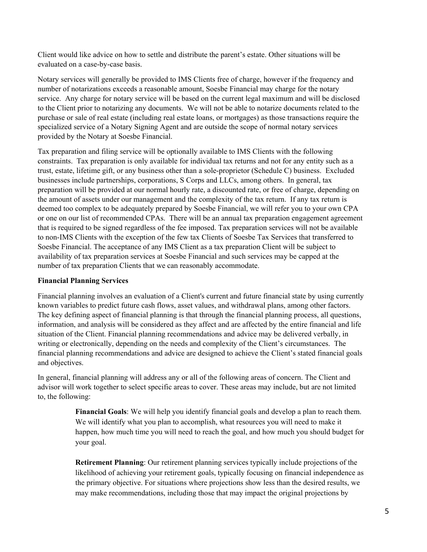Client would like advice on how to settle and distribute the parent's estate. Other situations will be evaluated on a case-by-case basis.

Notary services will generally be provided to IMS Clients free of charge, however if the frequency and number of notarizations exceeds a reasonable amount, Soesbe Financial may charge for the notary service. Any charge for notary service will be based on the current legal maximum and will be disclosed to the Client prior to notarizing any documents. We will not be able to notarize documents related to the purchase or sale of real estate (including real estate loans, or mortgages) as those transactions require the specialized service of a Notary Signing Agent and are outside the scope of normal notary services provided by the Notary at Soesbe Financial.

Tax preparation and filing service will be optionally available to IMS Clients with the following constraints. Tax preparation is only available for individual tax returns and not for any entity such as a trust, estate, lifetime gift, or any business other than a sole-proprietor (Schedule C) business. Excluded businesses include partnerships, corporations, S Corps and LLCs, among others. In general, tax preparation will be provided at our normal hourly rate, a discounted rate, or free of charge, depending on the amount of assets under our management and the complexity of the tax return. If any tax return is deemed too complex to be adequately prepared by Soesbe Financial, we will refer you to your own CPA or one on our list of recommended CPAs. There will be an annual tax preparation engagement agreement that is required to be signed regardless of the fee imposed. Tax preparation services will not be available to non-IMS Clients with the exception of the few tax Clients of Soesbe Tax Services that transferred to Soesbe Financial. The acceptance of any IMS Client as a tax preparation Client will be subject to availability of tax preparation services at Soesbe Financial and such services may be capped at the number of tax preparation Clients that we can reasonably accommodate.

#### **Financial Planning Services**

Financial planning involves an evaluation of a Client's current and future financial state by using currently known variables to predict future cash flows, asset values, and withdrawal plans, among other factors. The key defining aspect of financial planning is that through the financial planning process, all questions, information, and analysis will be considered as they affect and are affected by the entire financial and life situation of the Client. Financial planning recommendations and advice may be delivered verbally, in writing or electronically, depending on the needs and complexity of the Client's circumstances. The financial planning recommendations and advice are designed to achieve the Client's stated financial goals and objectives.

In general, financial planning will address any or all of the following areas of concern. The Client and advisor will work together to select specific areas to cover. These areas may include, but are not limited to, the following:

> **Financial Goals**: We will help you identify financial goals and develop a plan to reach them. We will identify what you plan to accomplish, what resources you will need to make it happen, how much time you will need to reach the goal, and how much you should budget for your goal.

> **Retirement Planning**: Our retirement planning services typically include projections of the likelihood of achieving your retirement goals, typically focusing on financial independence as the primary objective. For situations where projections show less than the desired results, we may make recommendations, including those that may impact the original projections by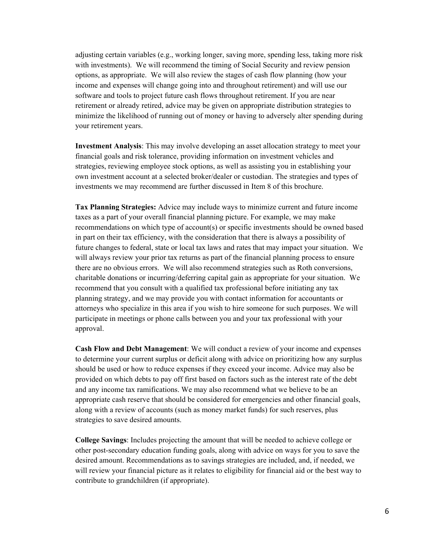adjusting certain variables (e.g., working longer, saving more, spending less, taking more risk with investments). We will recommend the timing of Social Security and review pension options, as appropriate. We will also review the stages of cash flow planning (how your income and expenses will change going into and throughout retirement) and will use our software and tools to project future cash flows throughout retirement. If you are near retirement or already retired, advice may be given on appropriate distribution strategies to minimize the likelihood of running out of money or having to adversely alter spending during your retirement years.

**Investment Analysis**: This may involve developing an asset allocation strategy to meet your financial goals and risk tolerance, providing information on investment vehicles and strategies, reviewing employee stock options, as well as assisting you in establishing your own investment account at a selected broker/dealer or custodian. The strategies and types of investments we may recommend are further discussed in Item 8 of this brochure.

**Tax Planning Strategies:** Advice may include ways to minimize current and future income taxes as a part of your overall financial planning picture. For example, we may make recommendations on which type of account(s) or specific investments should be owned based in part on their tax efficiency, with the consideration that there is always a possibility of future changes to federal, state or local tax laws and rates that may impact your situation. We will always review your prior tax returns as part of the financial planning process to ensure there are no obvious errors. We will also recommend strategies such as Roth conversions, charitable donations or incurring/deferring capital gain as appropriate for your situation. We recommend that you consult with a qualified tax professional before initiating any tax planning strategy, and we may provide you with contact information for accountants or attorneys who specialize in this area if you wish to hire someone for such purposes. We will participate in meetings or phone calls between you and your tax professional with your approval.

**Cash Flow and Debt Management**: We will conduct a review of your income and expenses to determine your current surplus or deficit along with advice on prioritizing how any surplus should be used or how to reduce expenses if they exceed your income. Advice may also be provided on which debts to pay off first based on factors such as the interest rate of the debt and any income tax ramifications. We may also recommend what we believe to be an appropriate cash reserve that should be considered for emergencies and other financial goals, along with a review of accounts (such as money market funds) for such reserves, plus strategies to save desired amounts.

**College Savings**: Includes projecting the amount that will be needed to achieve college or other post-secondary education funding goals, along with advice on ways for you to save the desired amount. Recommendations as to savings strategies are included, and, if needed, we will review your financial picture as it relates to eligibility for financial aid or the best way to contribute to grandchildren (if appropriate).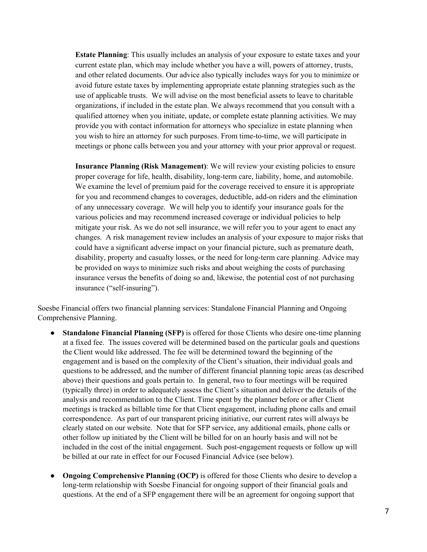**Estate Planning**: This usually includes an analysis of your exposure to estate taxes and your current estate plan, which may include whether you have a will, powers of attorney, trusts, and other related documents. Our advice also typically includes ways for you to minimize or avoid future estate taxes by implementing appropriate estate planning strategies such as the use of applicable trusts. We will advise on the most beneficial assets to leave to charitable organizations, if included in the estate plan. We always recommend that you consult with a qualified attorney when you initiate, update, or complete estate planning activities. We may provide you with contact information for attorneys who specialize in estate planning when you wish to hire an attorney for such purposes. From time-to-time, we will participate in meetings or phone calls between you and your attorney with your prior approval or request.

**Insurance Planning (Risk Management)**: We will review your existing policies to ensure proper coverage for life, health, disability, long-term care, liability, home, and automobile. We examine the level of premium paid for the coverage received to ensure it is appropriate for you and recommend changes to coverages, deductible, add-on riders and the elimination of any unnecessary coverage. We will help you to identify your insurance goals for the various policies and may recommend increased coverage or individual policies to help mitigate your risk. As we do not sell insurance, we will refer you to your agent to enact any changes. A risk management review includes an analysis of your exposure to major risks that could have a significant adverse impact on your financial picture, such as premature death, disability, property and casualty losses, or the need for long‐term care planning. Advice may be provided on ways to minimize such risks and about weighing the costs of purchasing insurance versus the benefits of doing so and, likewise, the potential cost of not purchasing insurance ("self‐insuring").

Soesbe Financial offers two financial planning services: Standalone Financial Planning and Ongoing Comprehensive Planning.

- **Standalone Financial Planning (SFP)** is offered for those Clients who desire one-time planning at a fixed fee. The issues covered will be determined based on the particular goals and questions the Client would like addressed. The fee will be determined toward the beginning of the engagement and is based on the complexity of the Client's situation, their individual goals and questions to be addressed, and the number of different financial planning topic areas (as described above) their questions and goals pertain to. In general, two to four meetings will be required (typically three) in order to adequately assess the Client's situation and deliver the details of the analysis and recommendation to the Client. Time spent by the planner before or after Client meetings is tracked as billable time for that Client engagement, including phone calls and email correspondence. As part of our transparent pricing initiative, our current rates will always be clearly stated on our website. Note that for SFP service, any additional emails, phone calls or other follow up initiated by the Client will be billed for on an hourly basis and will not be included in the cost of the initial engagement. Such post-engagement requests or follow up will be billed at our rate in effect for our Focused Financial Advice (see below).
- **Ongoing Comprehensive Planning (OCP)** is offered for those Clients who desire to develop a long-term relationship with Soesbe Financial for ongoing support of their financial goals and questions. At the end of a SFP engagement there will be an agreement for ongoing support that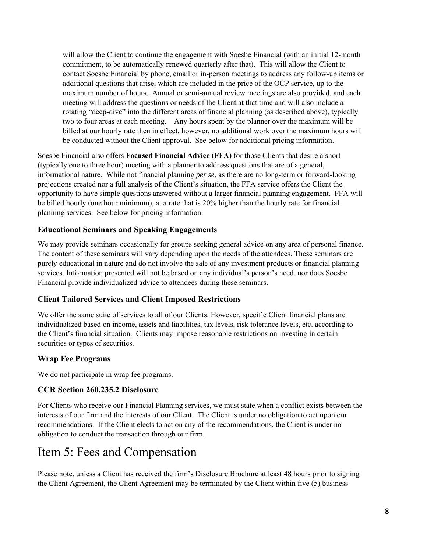will allow the Client to continue the engagement with Soesbe Financial (with an initial 12-month commitment, to be automatically renewed quarterly after that). This will allow the Client to contact Soesbe Financial by phone, email or in-person meetings to address any follow-up items or additional questions that arise, which are included in the price of the OCP service, up to the maximum number of hours. Annual or semi-annual review meetings are also provided, and each meeting will address the questions or needs of the Client at that time and will also include a rotating "deep-dive" into the different areas of financial planning (as described above), typically two to four areas at each meeting. Any hours spent by the planner over the maximum will be billed at our hourly rate then in effect, however, no additional work over the maximum hours will be conducted without the Client approval. See below for additional pricing information.

Soesbe Financial also offers **Focused Financial Advice (FFA)** for those Clients that desire a short (typically one to three hour) meeting with a planner to address questions that are of a general, informational nature. While not financial planning *per se*, as there are no long-term or forward-looking projections created nor a full analysis of the Client's situation, the FFA service offers the Client the opportunity to have simple questions answered without a larger financial planning engagement. FFA will be billed hourly (one hour minimum), at a rate that is 20% higher than the hourly rate for financial planning services. See below for pricing information.

#### **Educational Seminars and Speaking Engagements**

We may provide seminars occasionally for groups seeking general advice on any area of personal finance. The content of these seminars will vary depending upon the needs of the attendees. These seminars are purely educational in nature and do not involve the sale of any investment products or financial planning services. Information presented will not be based on any individual's person's need, nor does Soesbe Financial provide individualized advice to attendees during these seminars.

#### **Client Tailored Services and Client Imposed Restrictions**

We offer the same suite of services to all of our Clients. However, specific Client financial plans are individualized based on income, assets and liabilities, tax levels, risk tolerance levels, etc. according to the Client's financial situation. Clients may impose reasonable restrictions on investing in certain securities or types of securities.

#### **Wrap Fee Programs**

We do not participate in wrap fee programs.

#### **CCR Section 260.235.2 Disclosure**

For Clients who receive our Financial Planning services, we must state when a conflict exists between the interests of our firm and the interests of our Client. The Client is under no obligation to act upon our recommendations. If the Client elects to act on any of the recommendations, the Client is under no obligation to conduct the transaction through our firm.

## Item 5: Fees and Compensation

Please note, unless a Client has received the firm's Disclosure Brochure at least 48 hours prior to signing the Client Agreement, the Client Agreement may be terminated by the Client within five (5) business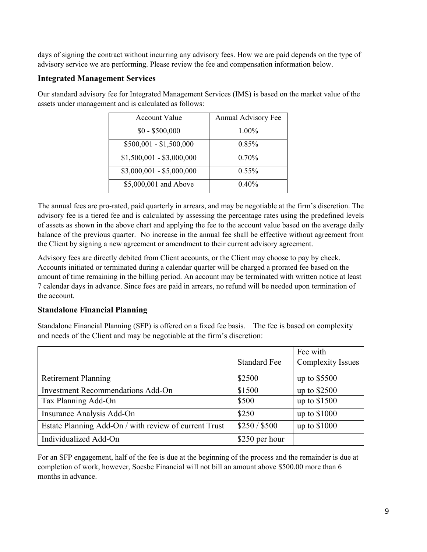days of signing the contract without incurring any advisory fees. How we are paid depends on the type of advisory service we are performing. Please review the fee and compensation information below.

#### **Integrated Management Services**

Our standard advisory fee for Integrated Management Services (IMS) is based on the market value of the assets under management and is calculated as follows:

| Account Value             | Annual Advisory Fee |  |
|---------------------------|---------------------|--|
| $$0 - $500,000$           | 1.00%               |  |
| $$500,001 - $1,500,000$   | 0.85%               |  |
| $$1,500,001 - $3,000,000$ | $0.70\%$            |  |
| $$3,000,001 - $5,000,000$ | $0.55\%$            |  |
| \$5,000,001 and Above     | 0.40%               |  |

The annual fees are pro-rated, paid quarterly in arrears, and may be negotiable at the firm's discretion. The advisory fee is a tiered fee and is calculated by assessing the percentage rates using the predefined levels of assets as shown in the above chart and applying the fee to the account value based on the average daily balance of the previous quarter. No increase in the annual fee shall be effective without agreement from the Client by signing a new agreement or amendment to their current advisory agreement.

Advisory fees are directly debited from Client accounts, or the Client may choose to pay by check. Accounts initiated or terminated during a calendar quarter will be charged a prorated fee based on the amount of time remaining in the billing period. An account may be terminated with written notice at least 7 calendar days in advance. Since fees are paid in arrears, no refund will be needed upon termination of the account.

### **Standalone Financial Planning**

Standalone Financial Planning (SFP) is offered on a fixed fee basis. The fee is based on complexity and needs of the Client and may be negotiable at the firm's discretion:

|                                                       |                     | Fee with                 |
|-------------------------------------------------------|---------------------|--------------------------|
|                                                       | <b>Standard Fee</b> | <b>Complexity Issues</b> |
| <b>Retirement Planning</b>                            | \$2500              | up to \$5500             |
| <b>Investment Recommendations Add-On</b>              | \$1500              | up to \$2500             |
| Tax Planning Add-On                                   | \$500               | up to \$1500             |
| Insurance Analysis Add-On                             | \$250               | up to \$1000             |
| Estate Planning Add-On / with review of current Trust | \$250 / \$500       | up to \$1000             |
| Individualized Add-On                                 | \$250 per hour      |                          |

For an SFP engagement, half of the fee is due at the beginning of the process and the remainder is due at completion of work, however, Soesbe Financial will not bill an amount above \$500.00 more than 6 months in advance.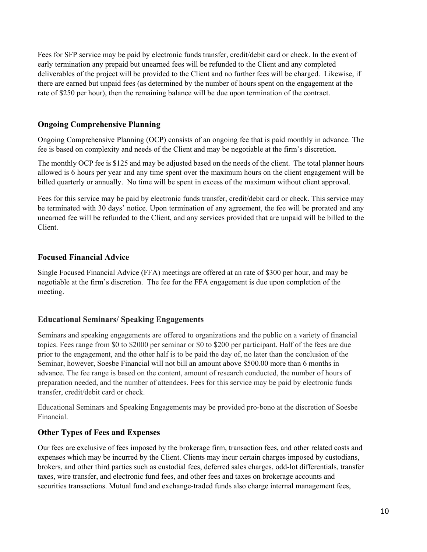Fees for SFP service may be paid by electronic funds transfer, credit/debit card or check. In the event of early termination any prepaid but unearned fees will be refunded to the Client and any completed deliverables of the project will be provided to the Client and no further fees will be charged. Likewise, if there are earned but unpaid fees (as determined by the number of hours spent on the engagement at the rate of \$250 per hour), then the remaining balance will be due upon termination of the contract.

#### **Ongoing Comprehensive Planning**

Ongoing Comprehensive Planning (OCP) consists of an ongoing fee that is paid monthly in advance. The fee is based on complexity and needs of the Client and may be negotiable at the firm's discretion.

The monthly OCP fee is \$125 and may be adjusted based on the needs of the client. The total planner hours allowed is 6 hours per year and any time spent over the maximum hours on the client engagement will be billed quarterly or annually. No time will be spent in excess of the maximum without client approval.

Fees for this service may be paid by electronic funds transfer, credit/debit card or check. This service may be terminated with 30 days' notice. Upon termination of any agreement, the fee will be prorated and any unearned fee will be refunded to the Client, and any services provided that are unpaid will be billed to the Client.

#### **Focused Financial Advice**

Single Focused Financial Advice (FFA) meetings are offered at an rate of \$300 per hour, and may be negotiable at the firm's discretion. The fee for the FFA engagement is due upon completion of the meeting.

#### **Educational Seminars/ Speaking Engagements**

Seminars and speaking engagements are offered to organizations and the public on a variety of financial topics. Fees range from \$0 to \$2000 per seminar or \$0 to \$200 per participant. Half of the fees are due prior to the engagement, and the other half is to be paid the day of, no later than the conclusion of the Seminar, however, Soesbe Financial will not bill an amount above \$500.00 more than 6 months in advance. The fee range is based on the content, amount of research conducted, the number of hours of preparation needed, and the number of attendees. Fees for this service may be paid by electronic funds transfer, credit/debit card or check.

Educational Seminars and Speaking Engagements may be provided pro-bono at the discretion of Soesbe Financial.

#### **Other Types of Fees and Expenses**

Our fees are exclusive of fees imposed by the brokerage firm, transaction fees, and other related costs and expenses which may be incurred by the Client. Clients may incur certain charges imposed by custodians, brokers, and other third parties such as custodial fees, deferred sales charges, odd-lot differentials, transfer taxes, wire transfer, and electronic fund fees, and other fees and taxes on brokerage accounts and securities transactions. Mutual fund and exchange-traded funds also charge internal management fees,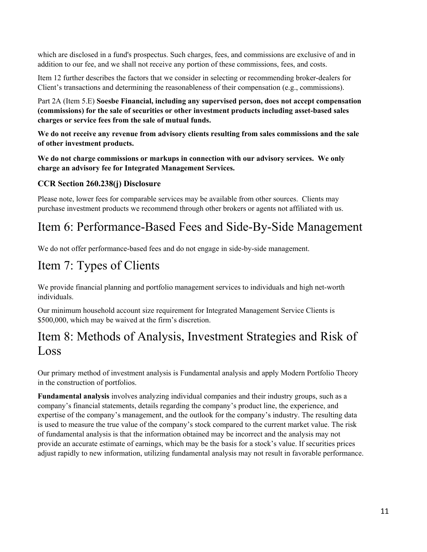which are disclosed in a fund's prospectus. Such charges, fees, and commissions are exclusive of and in addition to our fee, and we shall not receive any portion of these commissions, fees, and costs.

Item 12 further describes the factors that we consider in selecting or recommending broker-dealers for Client's transactions and determining the reasonableness of their compensation (e.g., commissions).

Part 2A (Item 5.E) **Soesbe Financial, including any supervised person, does not accept compensation (commissions) for the sale of securities or other investment products including asset-based sales charges or service fees from the sale of mutual funds.**

**We do not receive any revenue from advisory clients resulting from sales commissions and the sale of other investment products.** 

**We do not charge commissions or markups in connection with our advisory services. We only charge an advisory fee for Integrated Management Services.** 

#### **CCR Section 260.238(j) Disclosure**

Please note, lower fees for comparable services may be available from other sources. Clients may purchase investment products we recommend through other brokers or agents not affiliated with us.

# Item 6: Performance-Based Fees and Side-By-Side Management

We do not offer performance-based fees and do not engage in side-by-side management.

# Item 7: Types of Clients

We provide financial planning and portfolio management services to individuals and high net-worth individuals.

Our minimum household account size requirement for Integrated Management Service Clients is \$500,000, which may be waived at the firm's discretion.

## Item 8: Methods of Analysis, Investment Strategies and Risk of Loss

Our primary method of investment analysis is Fundamental analysis and apply Modern Portfolio Theory in the construction of portfolios.

**Fundamental analysis** involves analyzing individual companies and their industry groups, such as a company's financial statements, details regarding the company's product line, the experience, and expertise of the company's management, and the outlook for the company's industry. The resulting data is used to measure the true value of the company's stock compared to the current market value. The risk of fundamental analysis is that the information obtained may be incorrect and the analysis may not provide an accurate estimate of earnings, which may be the basis for a stock's value. If securities prices adjust rapidly to new information, utilizing fundamental analysis may not result in favorable performance.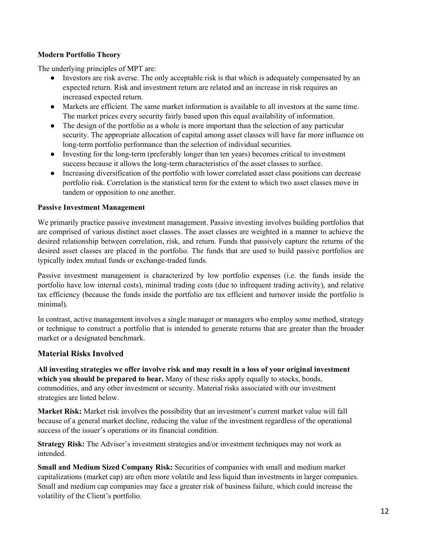#### **Modern Portfolio Theory**

The underlying principles of MPT are:

- Investors are risk averse. The only acceptable risk is that which is adequately compensated by an expected return. Risk and investment return are related and an increase in risk requires an increased expected return.
- Markets are efficient. The same market information is available to all investors at the same time. The market prices every security fairly based upon this equal availability of information.
- The design of the portfolio as a whole is more important than the selection of any particular security. The appropriate allocation of capital among asset classes will have far more influence on long-term portfolio performance than the selection of individual securities.
- Investing for the long-term (preferably longer than ten years) becomes critical to investment success because it allows the long-term characteristics of the asset classes to surface.
- Increasing diversification of the portfolio with lower correlated asset class positions can decrease portfolio risk. Correlation is the statistical term for the extent to which two asset classes move in tandem or opposition to one another.

#### **Passive Investment Management**

We primarily practice passive investment management. Passive investing involves building portfolios that are comprised of various distinct asset classes. The asset classes are weighted in a manner to achieve the desired relationship between correlation, risk, and return. Funds that passively capture the returns of the desired asset classes are placed in the portfolio. The funds that are used to build passive portfolios are typically index mutual funds or exchange-traded funds.

Passive investment management is characterized by low portfolio expenses (i.e. the funds inside the portfolio have low internal costs), minimal trading costs (due to infrequent trading activity), and relative tax efficiency (because the funds inside the portfolio are tax efficient and turnover inside the portfolio is minimal).

In contrast, active management involves a single manager or managers who employ some method, strategy or technique to construct a portfolio that is intended to generate returns that are greater than the broader market or a designated benchmark.

#### **Material Risks Involved**

**All investing strategies we offer involve risk and may result in a loss of your original investment which you should be prepared to bear.** Many of these risks apply equally to stocks, bonds, commodities, and any other investment or security. Material risks associated with our investment strategies are listed below.

**Market Risk:** Market risk involves the possibility that an investment's current market value will fall because of a general market decline, reducing the value of the investment regardless of the operational success of the issuer's operations or its financial condition.

**Strategy Risk:** The Adviser's investment strategies and/or investment techniques may not work as intended.

**Small and Medium Sized Company Risk:** Securities of companies with small and medium market capitalizations (market cap) are often more volatile and less liquid than investments in larger companies. Small and medium cap companies may face a greater risk of business failure, which could increase the volatility of the Client's portfolio.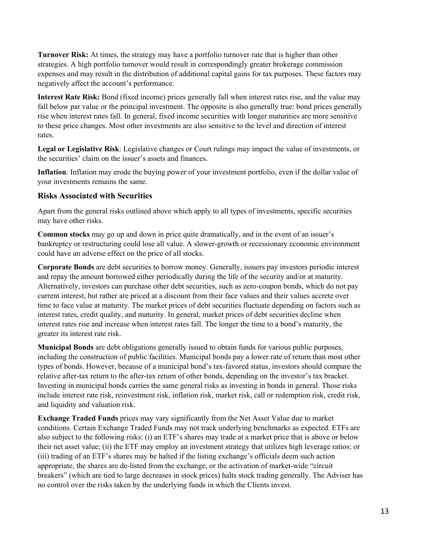**Turnover Risk:** At times, the strategy may have a portfolio turnover rate that is higher than other strategies. A high portfolio turnover would result in correspondingly greater brokerage commission expenses and may result in the distribution of additional capital gains for tax purposes. These factors may negatively affect the account's performance.

**Interest Rate Risk:** Bond (fixed income) prices generally fall when interest rates rise, and the value may fall below par value or the principal investment. The opposite is also generally true: bond prices generally rise when interest rates fall. In general, fixed income securities with longer maturities are more sensitive to these price changes. Most other investments are also sensitive to the level and direction of interest rates.

**Legal or Legislative Risk**: Legislative changes or Court rulings may impact the value of investments, or the securities' claim on the issuer's assets and finances.

**Inflation**: Inflation may erode the buying power of your investment portfolio, even if the dollar value of your investments remains the same.

#### **Risks Associated with Securities**

Apart from the general risks outlined above which apply to all types of investments, specific securities may have other risks.

**Common stocks** may go up and down in price quite dramatically, and in the event of an issuer's bankruptcy or restructuring could lose all value. A slower-growth or recessionary economic environment could have an adverse effect on the price of all stocks.

**Corporate Bonds** are debt securities to borrow money. Generally, issuers pay investors periodic interest and repay the amount borrowed either periodically during the life of the security and/or at maturity. Alternatively, investors can purchase other debt securities, such as zero-coupon bonds, which do not pay current interest, but rather are priced at a discount from their face values and their values accrete over time to face value at maturity. The market prices of debt securities fluctuate depending on factors such as interest rates, credit quality, and maturity. In general, market prices of debt securities decline when interest rates rise and increase when interest rates fall. The longer the time to a bond's maturity, the greater its interest rate risk.

**Municipal Bonds** are debt obligations generally issued to obtain funds for various public purposes, including the construction of public facilities. Municipal bonds pay a lower rate of return than most other types of bonds. However, because of a municipal bond's tax-favored status, investors should compare the relative after-tax return to the after-tax return of other bonds, depending on the investor's tax bracket. Investing in municipal bonds carries the same general risks as investing in bonds in general. Those risks include interest rate risk, reinvestment risk, inflation risk, market risk, call or redemption risk, credit risk, and liquidity and valuation risk.

**Exchange Traded Funds** prices may vary significantly from the Net Asset Value due to market conditions. Certain Exchange Traded Funds may not track underlying benchmarks as expected. ETFs are also subject to the following risks: (i) an ETF's shares may trade at a market price that is above or below their net asset value; (ii) the ETF may employ an investment strategy that utilizes high leverage ratios; or (iii) trading of an ETF's shares may be halted if the listing exchange's officials deem such action appropriate, the shares are de-listed from the exchange, or the activation of market-wide "circuit breakers" (which are tied to large decreases in stock prices) halts stock trading generally. The Adviser has no control over the risks taken by the underlying funds in which the Clients invest.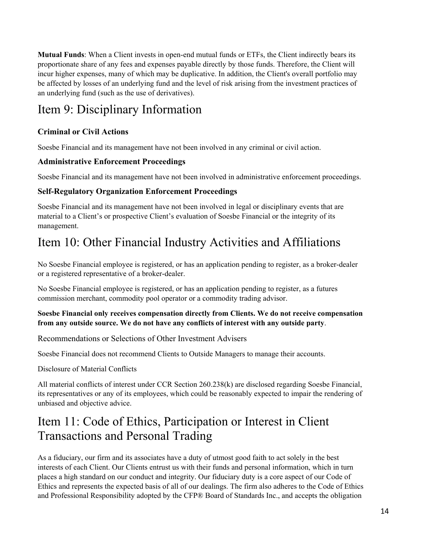**Mutual Funds**: When a Client invests in open-end mutual funds or ETFs, the Client indirectly bears its proportionate share of any fees and expenses payable directly by those funds. Therefore, the Client will incur higher expenses, many of which may be duplicative. In addition, the Client's overall portfolio may be affected by losses of an underlying fund and the level of risk arising from the investment practices of an underlying fund (such as the use of derivatives).

# Item 9: Disciplinary Information

### **Criminal or Civil Actions**

Soesbe Financial and its management have not been involved in any criminal or civil action.

#### **Administrative Enforcement Proceedings**

Soesbe Financial and its management have not been involved in administrative enforcement proceedings.

#### **Self-Regulatory Organization Enforcement Proceedings**

Soesbe Financial and its management have not been involved in legal or disciplinary events that are material to a Client's or prospective Client's evaluation of Soesbe Financial or the integrity of its management.

# Item 10: Other Financial Industry Activities and Affiliations

No Soesbe Financial employee is registered, or has an application pending to register, as a broker-dealer or a registered representative of a broker-dealer.

No Soesbe Financial employee is registered, or has an application pending to register, as a futures commission merchant, commodity pool operator or a commodity trading advisor.

#### **Soesbe Financial only receives compensation directly from Clients. We do not receive compensation from any outside source. We do not have any conflicts of interest with any outside party**.

Recommendations or Selections of Other Investment Advisers

Soesbe Financial does not recommend Clients to Outside Managers to manage their accounts.

Disclosure of Material Conflicts

All material conflicts of interest under CCR Section 260.238(k) are disclosed regarding Soesbe Financial, its representatives or any of its employees, which could be reasonably expected to impair the rendering of unbiased and objective advice.

# Item 11: Code of Ethics, Participation or Interest in Client Transactions and Personal Trading

As a fiduciary, our firm and its associates have a duty of utmost good faith to act solely in the best interests of each Client. Our Clients entrust us with their funds and personal information, which in turn places a high standard on our conduct and integrity. Our fiduciary duty is a core aspect of our Code of Ethics and represents the expected basis of all of our dealings. The firm also adheres to the Code of Ethics and Professional Responsibility adopted by the CFP® Board of Standards Inc., and accepts the obligation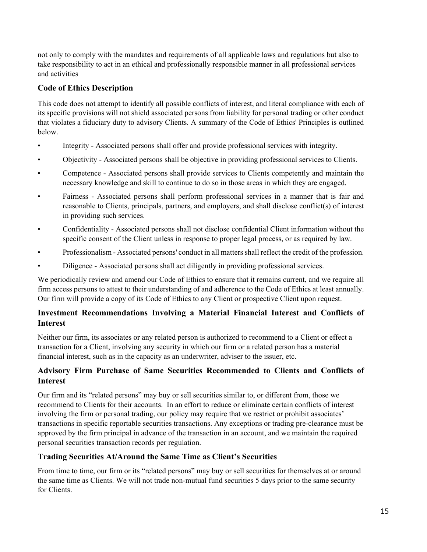not only to comply with the mandates and requirements of all applicable laws and regulations but also to take responsibility to act in an ethical and professionally responsible manner in all professional services and activities

#### **Code of Ethics Description**

This code does not attempt to identify all possible conflicts of interest, and literal compliance with each of its specific provisions will not shield associated persons from liability for personal trading or other conduct that violates a fiduciary duty to advisory Clients. A summary of the Code of Ethics' Principles is outlined below.

- Integrity Associated persons shall offer and provide professional services with integrity.
- Objectivity Associated persons shall be objective in providing professional services to Clients.
- Competence Associated persons shall provide services to Clients competently and maintain the necessary knowledge and skill to continue to do so in those areas in which they are engaged.
- Fairness Associated persons shall perform professional services in a manner that is fair and reasonable to Clients, principals, partners, and employers, and shall disclose conflict(s) of interest in providing such services.
- Confidentiality Associated persons shall not disclose confidential Client information without the specific consent of the Client unless in response to proper legal process, or as required by law.
- Professionalism Associated persons' conduct in all matters shall reflect the credit of the profession.
- Diligence Associated persons shall act diligently in providing professional services.

We periodically review and amend our Code of Ethics to ensure that it remains current, and we require all firm access persons to attest to their understanding of and adherence to the Code of Ethics at least annually. Our firm will provide a copy of its Code of Ethics to any Client or prospective Client upon request.

#### **Investment Recommendations Involving a Material Financial Interest and Conflicts of Interest**

Neither our firm, its associates or any related person is authorized to recommend to a Client or effect a transaction for a Client, involving any security in which our firm or a related person has a material financial interest, such as in the capacity as an underwriter, adviser to the issuer, etc.

#### **Advisory Firm Purchase of Same Securities Recommended to Clients and Conflicts of Interest**

Our firm and its "related persons" may buy or sell securities similar to, or different from, those we recommend to Clients for their accounts. In an effort to reduce or eliminate certain conflicts of interest involving the firm or personal trading, our policy may require that we restrict or prohibit associates' transactions in specific reportable securities transactions. Any exceptions or trading pre-clearance must be approved by the firm principal in advance of the transaction in an account, and we maintain the required personal securities transaction records per regulation.

#### **Trading Securities At/Around the Same Time as Client's Securities**

From time to time, our firm or its "related persons" may buy or sell securities for themselves at or around the same time as Clients. We will not trade non-mutual fund securities 5 days prior to the same security for Clients.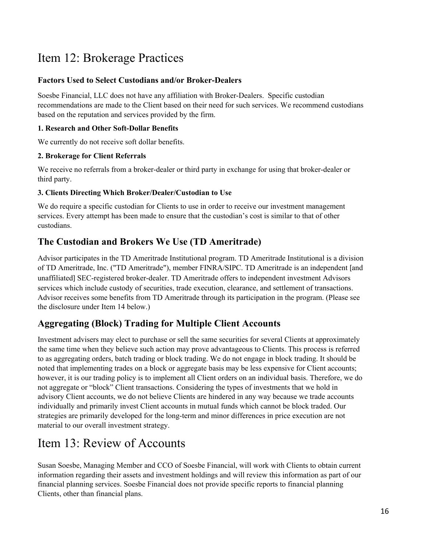# Item 12: Brokerage Practices

#### **Factors Used to Select Custodians and/or Broker-Dealers**

Soesbe Financial, LLC does not have any affiliation with Broker-Dealers. Specific custodian recommendations are made to the Client based on their need for such services. We recommend custodians based on the reputation and services provided by the firm.

#### **1. Research and Other Soft-Dollar Benefits**

We currently do not receive soft dollar benefits.

#### **2. Brokerage for Client Referrals**

We receive no referrals from a broker-dealer or third party in exchange for using that broker-dealer or third party.

#### **3. Clients Directing Which Broker/Dealer/Custodian to Use**

We do require a specific custodian for Clients to use in order to receive our investment management services. Every attempt has been made to ensure that the custodian's cost is similar to that of other custodians.

### **The Custodian and Brokers We Use (TD Ameritrade)**

Advisor participates in the TD Ameritrade Institutional program. TD Ameritrade Institutional is a division of TD Ameritrade, Inc. ("TD Ameritrade"), member FINRA/SIPC. TD Ameritrade is an independent [and unaffiliated] SEC-registered broker-dealer. TD Ameritrade offers to independent investment Advisors services which include custody of securities, trade execution, clearance, and settlement of transactions. Advisor receives some benefits from TD Ameritrade through its participation in the program. (Please see the disclosure under Item 14 below.)

### **Aggregating (Block) Trading for Multiple Client Accounts**

Investment advisers may elect to purchase or sell the same securities for several Clients at approximately the same time when they believe such action may prove advantageous to Clients. This process is referred to as aggregating orders, batch trading or block trading. We do not engage in block trading. It should be noted that implementing trades on a block or aggregate basis may be less expensive for Client accounts; however, it is our trading policy is to implement all Client orders on an individual basis. Therefore, we do not aggregate or "block" Client transactions. Considering the types of investments that we hold in advisory Client accounts, we do not believe Clients are hindered in any way because we trade accounts individually and primarily invest Client accounts in mutual funds which cannot be block traded. Our strategies are primarily developed for the long-term and minor differences in price execution are not material to our overall investment strategy.

## Item 13: Review of Accounts

Susan Soesbe, Managing Member and CCO of Soesbe Financial, will work with Clients to obtain current information regarding their assets and investment holdings and will review this information as part of our financial planning services. Soesbe Financial does not provide specific reports to financial planning Clients, other than financial plans.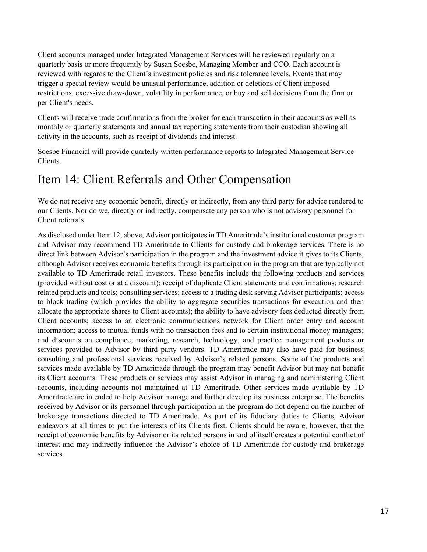Client accounts managed under Integrated Management Services will be reviewed regularly on a quarterly basis or more frequently by Susan Soesbe, Managing Member and CCO. Each account is reviewed with regards to the Client's investment policies and risk tolerance levels. Events that may trigger a special review would be unusual performance, addition or deletions of Client imposed restrictions, excessive draw-down, volatility in performance, or buy and sell decisions from the firm or per Client's needs.

Clients will receive trade confirmations from the broker for each transaction in their accounts as well as monthly or quarterly statements and annual tax reporting statements from their custodian showing all activity in the accounts, such as receipt of dividends and interest.

Soesbe Financial will provide quarterly written performance reports to Integrated Management Service Clients.

## Item 14: Client Referrals and Other Compensation

We do not receive any economic benefit, directly or indirectly, from any third party for advice rendered to our Clients. Nor do we, directly or indirectly, compensate any person who is not advisory personnel for Client referrals.

As disclosed under Item 12, above, Advisor participates in TD Ameritrade's institutional customer program and Advisor may recommend TD Ameritrade to Clients for custody and brokerage services. There is no direct link between Advisor's participation in the program and the investment advice it gives to its Clients, although Advisor receives economic benefits through its participation in the program that are typically not available to TD Ameritrade retail investors. These benefits include the following products and services (provided without cost or at a discount): receipt of duplicate Client statements and confirmations; research related products and tools; consulting services; access to a trading desk serving Advisor participants; access to block trading (which provides the ability to aggregate securities transactions for execution and then allocate the appropriate shares to Client accounts); the ability to have advisory fees deducted directly from Client accounts; access to an electronic communications network for Client order entry and account information; access to mutual funds with no transaction fees and to certain institutional money managers; and discounts on compliance, marketing, research, technology, and practice management products or services provided to Advisor by third party vendors. TD Ameritrade may also have paid for business consulting and professional services received by Advisor's related persons. Some of the products and services made available by TD Ameritrade through the program may benefit Advisor but may not benefit its Client accounts. These products or services may assist Advisor in managing and administering Client accounts, including accounts not maintained at TD Ameritrade. Other services made available by TD Ameritrade are intended to help Advisor manage and further develop its business enterprise. The benefits received by Advisor or its personnel through participation in the program do not depend on the number of brokerage transactions directed to TD Ameritrade. As part of its fiduciary duties to Clients, Advisor endeavors at all times to put the interests of its Clients first. Clients should be aware, however, that the receipt of economic benefits by Advisor or its related persons in and of itself creates a potential conflict of interest and may indirectly influence the Advisor's choice of TD Ameritrade for custody and brokerage services.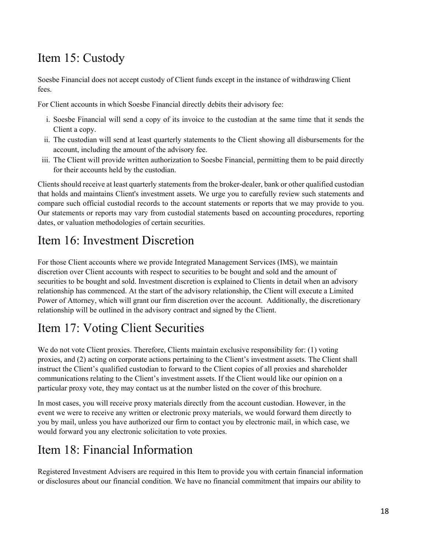# Item 15: Custody

Soesbe Financial does not accept custody of Client funds except in the instance of withdrawing Client fees.

For Client accounts in which Soesbe Financial directly debits their advisory fee:

- i. Soesbe Financial will send a copy of its invoice to the custodian at the same time that it sends the Client a copy.
- ii. The custodian will send at least quarterly statements to the Client showing all disbursements for the account, including the amount of the advisory fee.
- iii. The Client will provide written authorization to Soesbe Financial, permitting them to be paid directly for their accounts held by the custodian.

Clients should receive at least quarterly statements from the broker-dealer, bank or other qualified custodian that holds and maintains Client's investment assets. We urge you to carefully review such statements and compare such official custodial records to the account statements or reports that we may provide to you. Our statements or reports may vary from custodial statements based on accounting procedures, reporting dates, or valuation methodologies of certain securities.

## Item 16: Investment Discretion

For those Client accounts where we provide Integrated Management Services (IMS), we maintain discretion over Client accounts with respect to securities to be bought and sold and the amount of securities to be bought and sold. Investment discretion is explained to Clients in detail when an advisory relationship has commenced. At the start of the advisory relationship, the Client will execute a Limited Power of Attorney, which will grant our firm discretion over the account. Additionally, the discretionary relationship will be outlined in the advisory contract and signed by the Client.

# Item 17: Voting Client Securities

We do not vote Client proxies. Therefore, Clients maintain exclusive responsibility for: (1) voting proxies, and (2) acting on corporate actions pertaining to the Client's investment assets. The Client shall instruct the Client's qualified custodian to forward to the Client copies of all proxies and shareholder communications relating to the Client's investment assets. If the Client would like our opinion on a particular proxy vote, they may contact us at the number listed on the cover of this brochure.

In most cases, you will receive proxy materials directly from the account custodian. However, in the event we were to receive any written or electronic proxy materials, we would forward them directly to you by mail, unless you have authorized our firm to contact you by electronic mail, in which case, we would forward you any electronic solicitation to vote proxies.

## Item 18: Financial Information

Registered Investment Advisers are required in this Item to provide you with certain financial information or disclosures about our financial condition. We have no financial commitment that impairs our ability to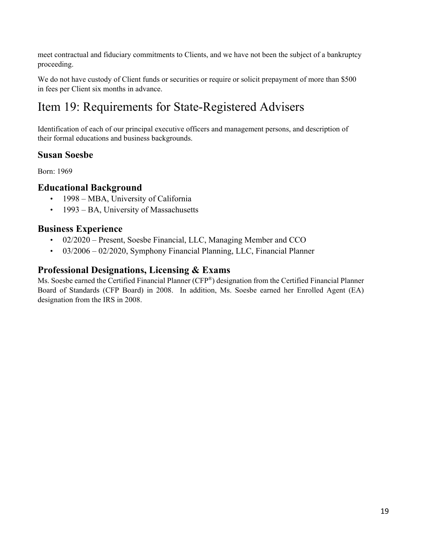meet contractual and fiduciary commitments to Clients, and we have not been the subject of a bankruptcy proceeding.

We do not have custody of Client funds or securities or require or solicit prepayment of more than \$500 in fees per Client six months in advance.

# Item 19: Requirements for State-Registered Advisers

Identification of each of our principal executive officers and management persons, and description of their formal educations and business backgrounds.

### **Susan Soesbe**

Born: 1969

### **Educational Background**

- 1998 MBA, University of California
- 1993 BA, University of Massachusetts

### **Business Experience**

- 02/2020 Present, Soesbe Financial, LLC, Managing Member and CCO
- 03/2006 02/2020, Symphony Financial Planning, LLC, Financial Planner

### **Professional Designations, Licensing & Exams**

Ms. Soesbe earned the Certified Financial Planner (CFP®) designation from the Certified Financial Planner Board of Standards (CFP Board) in 2008. In addition, Ms. Soesbe earned her Enrolled Agent (EA) designation from the IRS in 2008.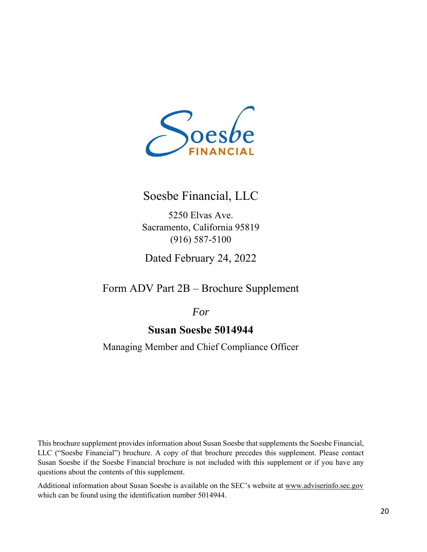

### Soesbe Financial, LLC

5250 Elvas Ave. Sacramento, California 95819 (916) 587-5100

Dated February 24, 2022

Form ADV Part 2B – Brochure Supplement

*For* 

### **Susan Soesbe 5014944**

Managing Member and Chief Compliance Officer

This brochure supplement provides information about Susan Soesbe that supplements the Soesbe Financial, LLC ("Soesbe Financial") brochure. A copy of that brochure precedes this supplement. Please contact Susan Soesbe if the Soesbe Financial brochure is not included with this supplement or if you have any questions about the contents of this supplement.

Additional information about Susan Soesbe is available on the SEC's website at www.adviserinfo.sec.gov which can be found using the identification number 5014944.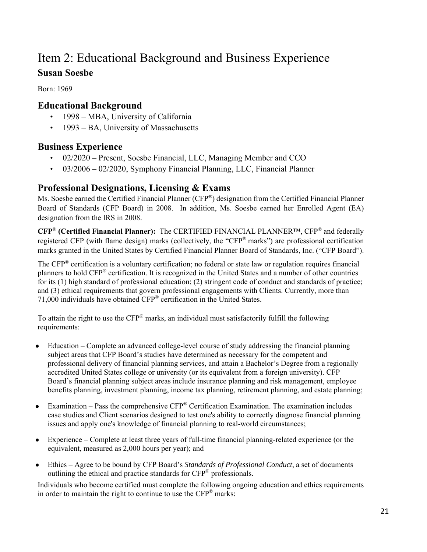# Item 2: Educational Background and Business Experience

### **Susan Soesbe**

Born: 1969

### **Educational Background**

- 1998 MBA, University of California
- 1993 BA, University of Massachusetts

### **Business Experience**

- 02/2020 Present, Soesbe Financial, LLC, Managing Member and CCO
- 03/2006 02/2020, Symphony Financial Planning, LLC, Financial Planner

### **Professional Designations, Licensing & Exams**

Ms. Soesbe earned the Certified Financial Planner (CFP®) designation from the Certified Financial Planner Board of Standards (CFP Board) in 2008. In addition, Ms. Soesbe earned her Enrolled Agent (EA) designation from the IRS in 2008.

**CFP**® **(Certified Financial Planner):** The CERTIFIED FINANCIAL PLANNER™, CFP® and federally registered CFP (with flame design) marks (collectively, the "CFP® marks") are professional certification marks granted in the United States by Certified Financial Planner Board of Standards, Inc. ("CFP Board").

The CFP® certification is a voluntary certification; no federal or state law or regulation requires financial planners to hold CFP® certification. It is recognized in the United States and a number of other countries for its (1) high standard of professional education; (2) stringent code of conduct and standards of practice; and (3) ethical requirements that govern professional engagements with Clients. Currently, more than 71,000 individuals have obtained CFP® certification in the United States.

To attain the right to use the CFP® marks, an individual must satisfactorily fulfill the following requirements:

- Education Complete an advanced college-level course of study addressing the financial planning subject areas that CFP Board's studies have determined as necessary for the competent and professional delivery of financial planning services, and attain a Bachelor's Degree from a regionally accredited United States college or university (or its equivalent from a foreign university). CFP Board's financial planning subject areas include insurance planning and risk management, employee benefits planning, investment planning, income tax planning, retirement planning, and estate planning;
- Examination Pass the comprehensive  $CFP^*$  Certification Examination. The examination includes case studies and Client scenarios designed to test one's ability to correctly diagnose financial planning issues and apply one's knowledge of financial planning to real-world circumstances;
- Experience Complete at least three years of full-time financial planning-related experience (or the equivalent, measured as 2,000 hours per year); and
- Ethics Agree to be bound by CFP Board's *Standards of Professional Conduct*, a set of documents outlining the ethical and practice standards for CFP® professionals.

Individuals who become certified must complete the following ongoing education and ethics requirements in order to maintain the right to continue to use the  $CFP^{\otimes}$  marks: